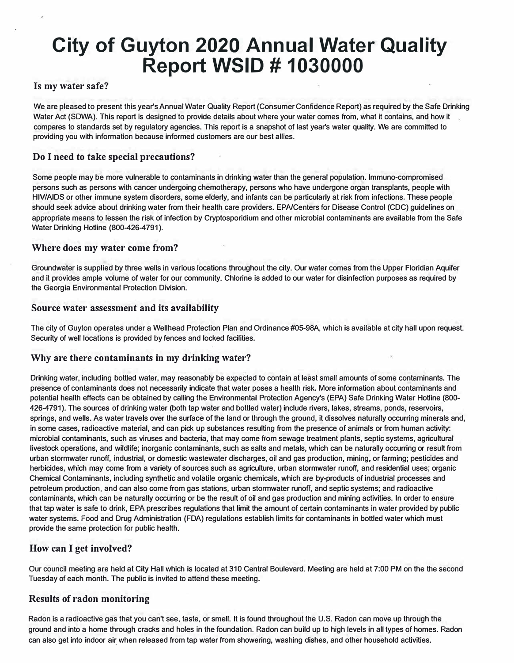# **City of Guyton 2020 Annual Water Quality Report WSID # 1030000**

#### **Is my water safe?**

We are pleased to present this year's Annual Water Quality Report (Consumer Confidence Report) as required by the Safe Drinking Water Act (SOWA). This report is designed to provide details about where your water comes from, what it contains, and how it compares to standards set by regulatory agencies. This report is a snapshot of last year's water quality. We are committed to providing you with information because informed customers are our best allies.

### **Do I need to take special precautions?**

Some people may be more vulnerable to contaminants in drinking water than the general population. lmmuno-compromised persons such as persons with cancer undergoing chemotherapy, persons who have undergone organ transplants, people with HIV/AIDS or other immune system disorders, some elderly, and infants can be particularly at risk from infections. These people should seek advice about drinking water from their health care providers. EPAfCenters for Disease Control {CDC) guidelines on appropriate means to lessen the risk of infection by Cryptosporidium and other microbial contaminants are available from the Safe Water Drinking Hotline (800-426-4791).

#### **Where does my water come from?**

Groundwater is supplied by three wells in various locations throughout the city. Our water comes from the Upper Floridian Aquifer and it provides ample volume of water for our community. Chlorine is added to our water for disinfection purposes as required by the Georgia Environmental Protection Division.

#### **Source water assessment and its availability**

The city of Guyton operates under a Wellhead Protection Plan and Ordinance #05-98A, which is available at city hall upon request. Security of well locations is provided by fences and locked facilities.

#### **Why are there contaminants in my drinking water?**

Drinking water, including bottled water, may reasonably be expected to contain at least small amounts of some contaminants. The presence of contaminants does not necessarily indicate that water poses a health risk. More information about contaminants and potential health effects can be obtained by calling the Environmental Protection Agency's {EPA) Safe Drinking Water Hotline {800- 426-4791). The sources of drinking water (both tap water and bottled water) include rivers, lakes, streams, ponds, reservoirs, springs, and wells. As water travels over the surface of the land or through the ground, it dissolves naturally occurring minerals and, in some cases, radioactive material, and can pick up substances resulting from the presence of animals or from human activity: microbial contaminants, such as viruses and bacteria, that may come from sewage treatment plants, septic systems, agricultural livestock operations, and wildlife; inorganic contaminants, such as salts and metals, which can be naturally occurring or result from urban stormwater runoff, industrial, or domestic wastewater discharges, oil and gas production, mining, or farming; pesticides and herbicides, which may come from a variety of sources such as agriculture, urban stormwater runoff, and residential uses; organic Chemical Contaminants, including synthetic and volatile organic chemicals, which are by-products of industrial processes and petroleum production, and can also come from gas stations, urban stormwater runoff, and septic systems; and radioactive contaminants, which can be naturally occurring or be the result of oil and gas production and mining activities. In order to ensure that tap water is safe to drink, EPA prescribes regulations that limit the amount of certain contaminants in water provided by public water systems. Food and Drug Administration (FDA) regulations establish limits for contaminants in bottled water which must provide the same protection for public health.

## **How can I get involved?**

Our council meeting are held at City Hall which is located at 310 Central Boulevard. Meeting are held at 7:00 PM on the the second Tuesday of each month. The public is invited to attend these meeting.

#### **Results of radon monitoring**

Radon is a radioactive gas that you can't see, taste, or smell. It is found throughout the U.S. Radon can move up through the ground and into a home through cracks and holes in the foundation. Radon can build up to high levels in all types of homes. Radon can also get into indoor air when released from tap water from showering, washing dishes, and other household activities.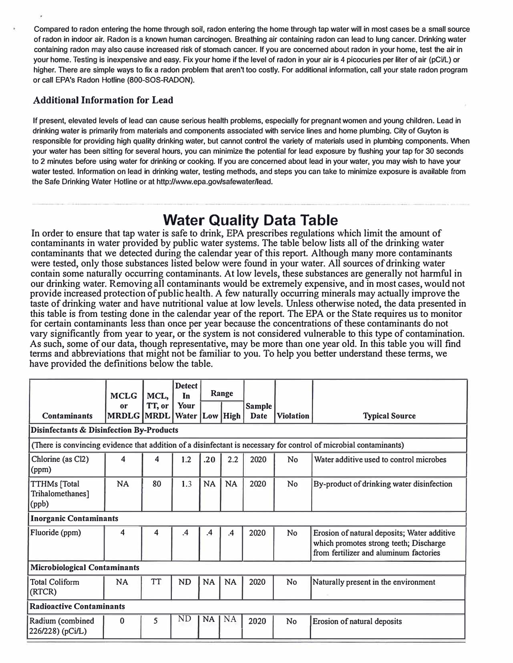Compared to radon entering the home through soil, radon entering the home through tap water will in most cases be a small source of radon in indoor air. Radon is a known human carcinogen. Breathing air containing radon can lead to lung cancer. Drinking water containing radon may also cause increased risk of stomach cancer. If you are concerned about radon in your home, test the air in your home. Testing is inexpensive and easy. Fix your home if the level of radon in your air is 4 picocuries per liter of air (pCi/L) or higher. There are simple ways to fix a radon problem that aren't too costly. For additional information, call your state radon program or call EPA's Radon Hotline (800-SOS-RADON).

# **Additional Information for Lead**

If present, elevated levels of lead can cause serious health problems, especially for pregnant women and young children. Lead in drinking water is primarily from materials and components associated with service lines and home plumbing. City of Guyton is responsible for providing high quality drinking water, but cannot control the variety of materials used in plumbing components. When your water has been sitting for several hours, you can minimize the potential for lead exposure by flushing your tap for 30 seconds to 2 minutes before using water for drinking or cooking. If you are concerned about lead in your water, you may wish to have your water tested. Information on lead in drinking water, testing methods, and steps you can take to minimize exposure is available from the Safe Drinking Water Hotline or at http://www.epa.gov/safewater/lead.

# **Water Quality Data Table**

In order to ensure that tap water is safe to drink, EPA prescribes regulations which limit the amount of contaminants in water provided by public water systems. The table below lists all of the drinking water contaminants that we detected during the calendar year of this report. Although many more contaminants were tested, only those substances listed below were found in your water. All sources of drinking water contain some naturally occurring contaminants. At low levels, these substances are generally not harmful in our drinking water. Removing alI contaminants would be extremely expensive, and in most cases, would not provide increased protection of public health. A few naturally occurring minerals may actually improve the taste of drinking water and have nutritional value at low levels. Unless otherwise noted, the data presented in this table is from testing done in the calendar year of the report. The EPA or the State requires us to monitor for certain contaminants less than once per year because the concentrations of these contaminants do not vary significantly from year to year, or the system is not considered vulnerable to this type of contamination. As such, some of our data, though representative, may be more than one year old. In this table you will find terms and abbreviations that might not be familiar to you. To help you better understand these terms, we have provided the definitions below the table.

|                                                                                                                   | <b>MCLG</b>             | MCL,      | <b>Detect</b><br>In        |           | Range         |                       |                  |                                                                                                                                 |
|-------------------------------------------------------------------------------------------------------------------|-------------------------|-----------|----------------------------|-----------|---------------|-----------------------|------------------|---------------------------------------------------------------------------------------------------------------------------------|
| <b>Contaminants</b>                                                                                               | or<br><b>MRDLG MRDL</b> | TT, or    | Your<br>Water   Low   High |           |               | <b>Sample</b><br>Date | <b>Violation</b> |                                                                                                                                 |
|                                                                                                                   |                         |           |                            |           |               |                       |                  | <b>Typical Source</b>                                                                                                           |
| <b>Disinfectants &amp; Disinfection By-Products</b>                                                               |                         |           |                            |           |               |                       |                  |                                                                                                                                 |
| (There is convincing evidence that addition of a disinfectant is necessary for control of microbial contaminants) |                         |           |                            |           |               |                       |                  |                                                                                                                                 |
| Chlorine (as Cl2)<br>(ppm)                                                                                        | 4                       | 4         | 1.2                        | .20       | 2.2           | 2020                  | No               | Water additive used to control microbes                                                                                         |
| <b>TTHMs</b> [Total<br>Trihalomethanes]<br>(ppb)                                                                  | <b>NA</b>               | 80        | 1.3                        | <b>NA</b> | <b>NA</b>     | 2020                  | No               | By-product of drinking water disinfection                                                                                       |
| <b>Inorganic Contaminants</b>                                                                                     |                         |           |                            |           |               |                       |                  |                                                                                                                                 |
| Fluoride (ppm)                                                                                                    | 4                       | 4         | $\cdot$                    | $\cdot$   | $\mathbf{.4}$ | 2020                  | No               | Erosion of natural deposits; Water additive<br>which promotes strong teeth; Discharge<br>from fertilizer and aluminum factories |
| <b>Microbiological Contaminants</b>                                                                               |                         |           |                            |           |               |                       |                  |                                                                                                                                 |
| <b>Total Coliform</b><br>(RTCR)                                                                                   | <b>NA</b>               | <b>TT</b> | <b>ND</b>                  | <b>NA</b> | <b>NA</b>     | 2020                  | <b>No</b>        | Naturally present in the environment                                                                                            |
| <b>Radioactive Contaminants</b>                                                                                   |                         |           |                            |           |               |                       |                  |                                                                                                                                 |
| Radium (combined<br>226/228) (pCi/L)                                                                              | $\mathbf{0}$            | 5         | ND                         | <b>NA</b> | NA            | 2020                  | No               | Erosion of natural deposits                                                                                                     |